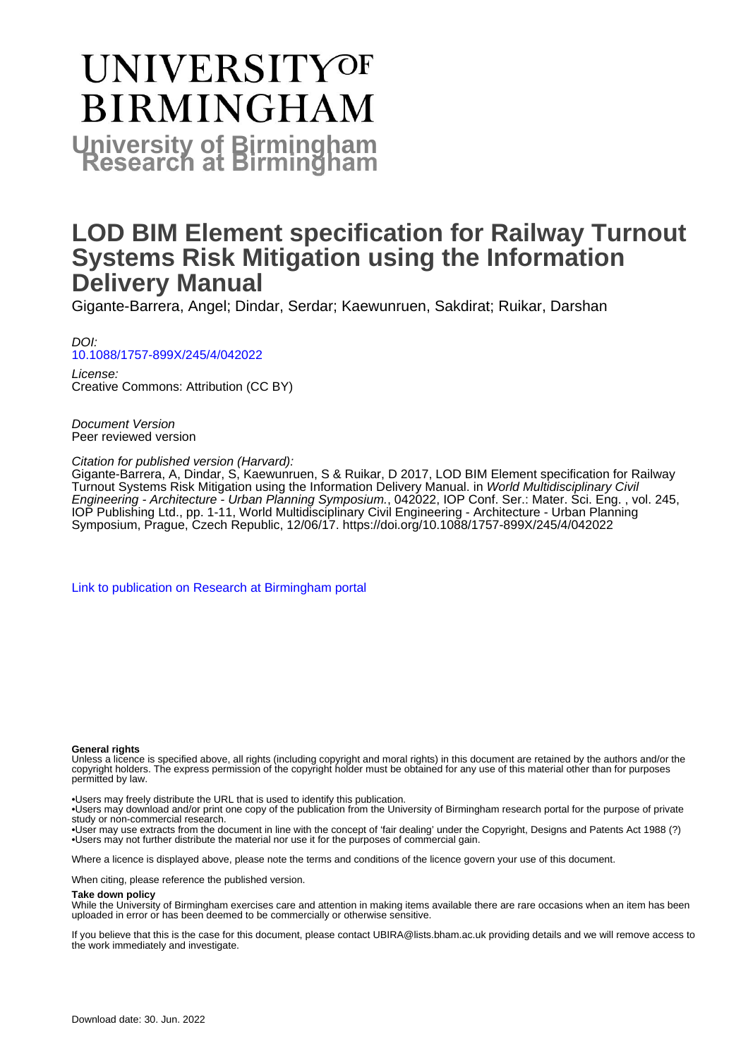# **UNIVERSITYOF BIRMINGHAM University of Birmingham**

## **LOD BIM Element specification for Railway Turnout Systems Risk Mitigation using the Information Delivery Manual**

Gigante-Barrera, Angel; Dindar, Serdar; Kaewunruen, Sakdirat; Ruikar, Darshan

DOI: [10.1088/1757-899X/245/4/042022](https://doi.org/10.1088/1757-899X/245/4/042022)

License: Creative Commons: Attribution (CC BY)

Document Version Peer reviewed version

Citation for published version (Harvard):

Gigante-Barrera, A, Dindar, S, Kaewunruen, S & Ruikar, D 2017, LOD BIM Element specification for Railway Turnout Systems Risk Mitigation using the Information Delivery Manual. in World Multidisciplinary Civil Engineering - Architecture - Urban Planning Symposium., 042022, IOP Conf. Ser.: Mater. Sci. Eng. , vol. 245, IOP Publishing Ltd., pp. 1-11, World Multidisciplinary Civil Engineering - Architecture - Urban Planning Symposium, Prague, Czech Republic, 12/06/17. <https://doi.org/10.1088/1757-899X/245/4/042022>

[Link to publication on Research at Birmingham portal](https://birmingham.elsevierpure.com/en/publications/c506f608-f28d-4f4f-a821-95651b5621f3)

#### **General rights**

Unless a licence is specified above, all rights (including copyright and moral rights) in this document are retained by the authors and/or the copyright holders. The express permission of the copyright holder must be obtained for any use of this material other than for purposes permitted by law.

• Users may freely distribute the URL that is used to identify this publication.

• Users may download and/or print one copy of the publication from the University of Birmingham research portal for the purpose of private study or non-commercial research.

• User may use extracts from the document in line with the concept of 'fair dealing' under the Copyright, Designs and Patents Act 1988 (?) • Users may not further distribute the material nor use it for the purposes of commercial gain.

Where a licence is displayed above, please note the terms and conditions of the licence govern your use of this document.

When citing, please reference the published version.

#### **Take down policy**

While the University of Birmingham exercises care and attention in making items available there are rare occasions when an item has been uploaded in error or has been deemed to be commercially or otherwise sensitive.

If you believe that this is the case for this document, please contact UBIRA@lists.bham.ac.uk providing details and we will remove access to the work immediately and investigate.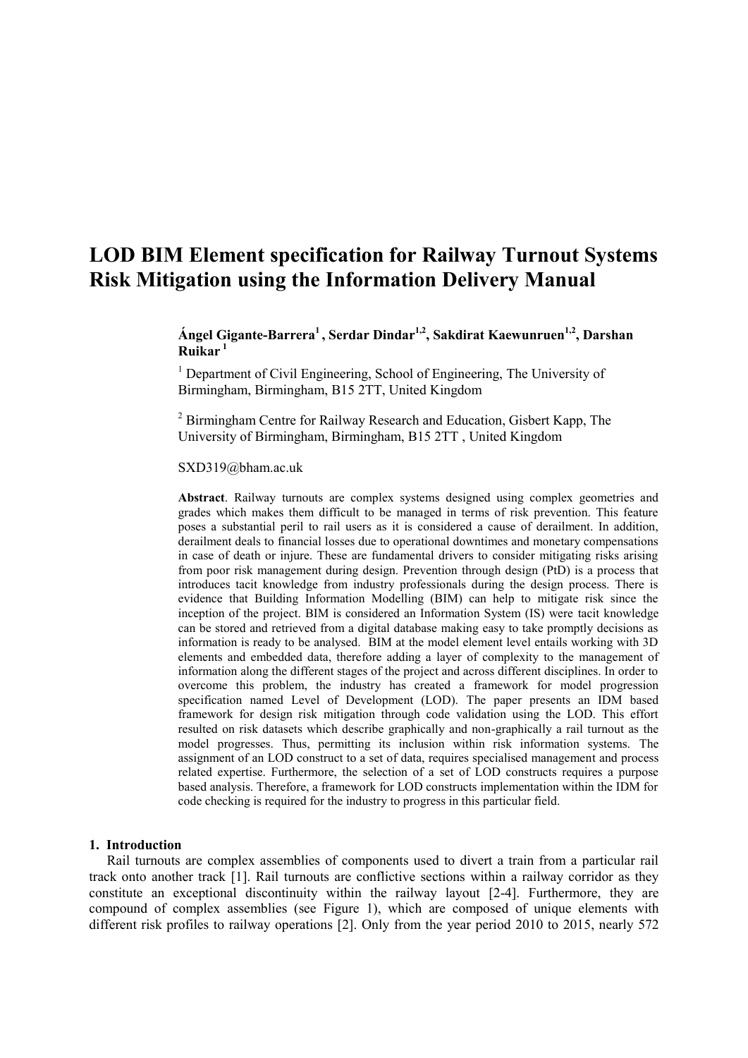### **LOD BIM Element specification for Railway Turnout Systems Risk Mitigation using the Information Delivery Manual**

**Ángel Gigante-Barrera<sup>1</sup> , Serdar Dindar1,2 , Sakdirat Kaewunruen1,2, Darshan Ruikar <sup>1</sup>**

<sup>1</sup> Department of Civil Engineering, School of Engineering, The University of Birmingham, Birmingham, B15 2TT, United Kingdom

<sup>2</sup> Birmingham Centre for Railway Research and Education, Gisbert Kapp, The University of Birmingham, Birmingham, B15 2TT , United Kingdom

#### SXD319@bham.ac.uk

**Abstract**. Railway turnouts are complex systems designed using complex geometries and grades which makes them difficult to be managed in terms of risk prevention. This feature poses a substantial peril to rail users as it is considered a cause of derailment. In addition, derailment deals to financial losses due to operational downtimes and monetary compensations in case of death or injure. These are fundamental drivers to consider mitigating risks arising from poor risk management during design. Prevention through design (PtD) is a process that introduces tacit knowledge from industry professionals during the design process. There is evidence that Building Information Modelling (BIM) can help to mitigate risk since the inception of the project. BIM is considered an Information System (IS) were tacit knowledge can be stored and retrieved from a digital database making easy to take promptly decisions as information is ready to be analysed. BIM at the model element level entails working with 3D elements and embedded data, therefore adding a layer of complexity to the management of information along the different stages of the project and across different disciplines. In order to overcome this problem, the industry has created a framework for model progression specification named Level of Development (LOD). The paper presents an IDM based framework for design risk mitigation through code validation using the LOD. This effort resulted on risk datasets which describe graphically and non-graphically a rail turnout as the model progresses. Thus, permitting its inclusion within risk information systems. The assignment of an LOD construct to a set of data, requires specialised management and process related expertise. Furthermore, the selection of a set of LOD constructs requires a purpose based analysis. Therefore, a framework for LOD constructs implementation within the IDM for code checking is required for the industry to progress in this particular field.

#### **1. Introduction**

Rail turnouts are complex assemblies of components used to divert a train from a particular rail track onto another track [1]. Rail turnouts are conflictive sections within a railway corridor as they constitute an exceptional discontinuity within the railway layout [2-4]. Furthermore, they are compound of complex assemblies (see [Figure 1\)](#page-2-0), which are composed of unique elements with different risk profiles to railway operations [2]. Only from the year period 2010 to 2015, nearly 572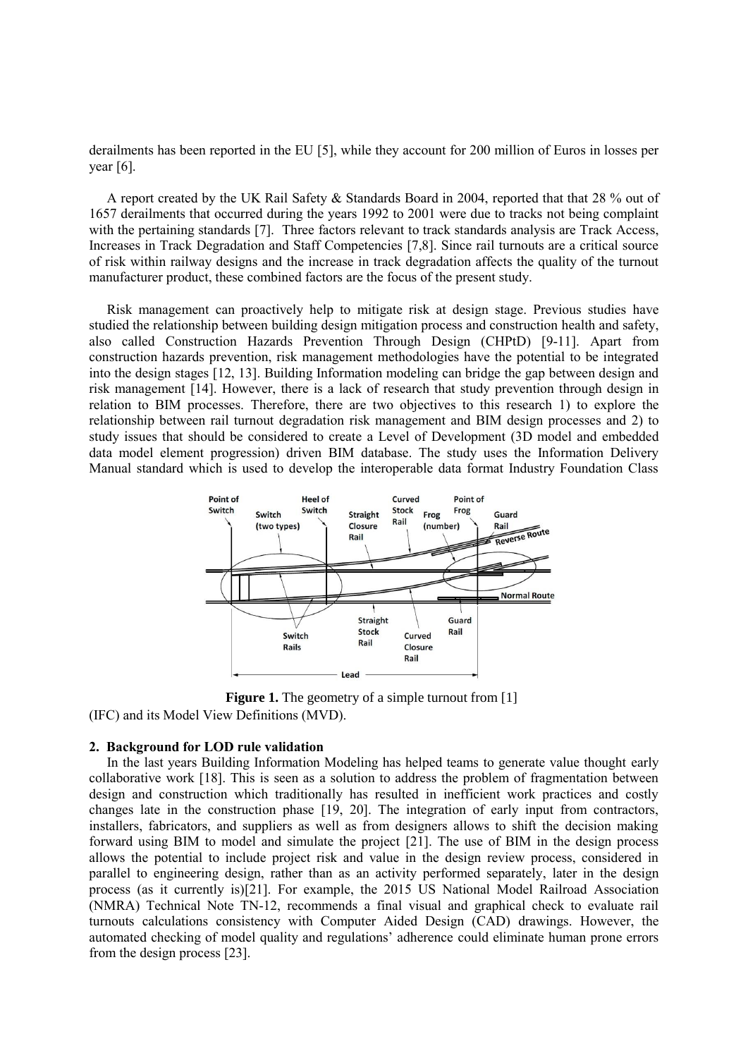derailments has been reported in the EU [5], while they account for 200 million of Euros in losses per year [6].

A report created by the UK Rail Safety & Standards Board in 2004, reported that that 28 % out of 1657 derailments that occurred during the years 1992 to 2001 were due to tracks not being complaint with the pertaining standards [7]. Three factors relevant to track standards analysis are Track Access, Increases in Track Degradation and Staff Competencies [7,8]. Since rail turnouts are a critical source of risk within railway designs and the increase in track degradation affects the quality of the turnout manufacturer product, these combined factors are the focus of the present study.

Risk management can proactively help to mitigate risk at design stage. Previous studies have studied the relationship between building design mitigation process and construction health and safety, also called Construction Hazards Prevention Through Design (CHPtD) [9-11]. Apart from construction hazards prevention, risk management methodologies have the potential to be integrated into the design stages [12, 13]. Building Information modeling can bridge the gap between design and risk management [14]. However, there is a lack of research that study prevention through design in relation to BIM processes. Therefore, there are two objectives to this research 1) to explore the relationship between rail turnout degradation risk management and BIM design processes and 2) to study issues that should be considered to create a Level of Development (3D model and embedded data model element progression) driven BIM database. The study uses the Information Delivery Manual standard which is used to develop the interoperable data format Industry Foundation Class



<span id="page-2-0"></span>**Figure 1.** The geometry of a simple turnout from [1]

(IFC) and its Model View Definitions (MVD).

#### **2. Background for LOD rule validation**

In the last years Building Information Modeling has helped teams to generate value thought early collaborative work [18]. This is seen as a solution to address the problem of fragmentation between design and construction which traditionally has resulted in inefficient work practices and costly changes late in the construction phase [19, 20]. The integration of early input from contractors, installers, fabricators, and suppliers as well as from designers allows to shift the decision making forward using BIM to model and simulate the project [21]. The use of BIM in the design process allows the potential to include project risk and value in the design review process, considered in parallel to engineering design, rather than as an activity performed separately, later in the design process (as it currently is)[21]. For example, the 2015 US National Model Railroad Association (NMRA) Technical Note TN-12, recommends a final visual and graphical check to evaluate rail turnouts calculations consistency with Computer Aided Design (CAD) drawings. However, the automated checking of model quality and regulations' adherence could eliminate human prone errors from the design process [23].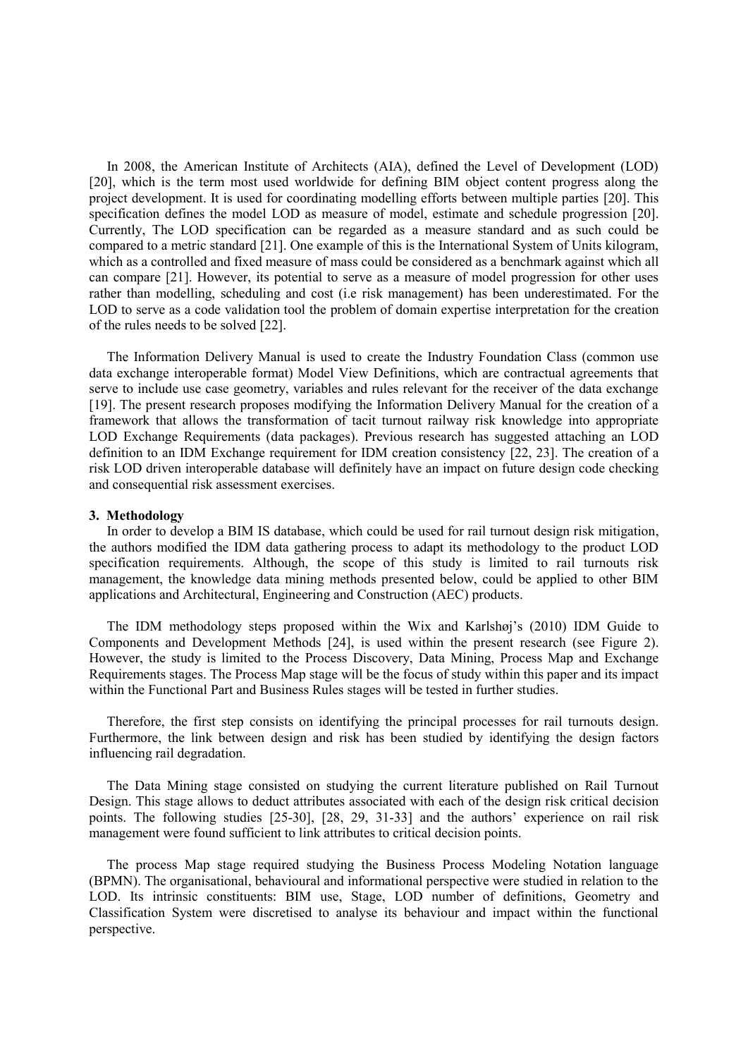In 2008, the American Institute of Architects (AIA), defined the Level of Development (LOD) [20], which is the term most used worldwide for defining BIM object content progress along the project development. It is used for coordinating modelling efforts between multiple parties [20]. This specification defines the model LOD as measure of model, estimate and schedule progression [20]. Currently, The LOD specification can be regarded as a measure standard and as such could be compared to a metric standard [21]. One example of this is the International System of Units kilogram, which as a controlled and fixed measure of mass could be considered as a benchmark against which all can compare [21]. However, its potential to serve as a measure of model progression for other uses rather than modelling, scheduling and cost (i.e risk management) has been underestimated. For the LOD to serve as a code validation tool the problem of domain expertise interpretation for the creation of the rules needs to be solved [22].

The Information Delivery Manual is used to create the Industry Foundation Class (common use data exchange interoperable format) Model View Definitions, which are contractual agreements that serve to include use case geometry, variables and rules relevant for the receiver of the data exchange [19]. The present research proposes modifying the Information Delivery Manual for the creation of a framework that allows the transformation of tacit turnout railway risk knowledge into appropriate LOD Exchange Requirements (data packages). Previous research has suggested attaching an LOD definition to an IDM Exchange requirement for IDM creation consistency [22, 23]. The creation of a risk LOD driven interoperable database will definitely have an impact on future design code checking and consequential risk assessment exercises.

#### **3. Methodology**

In order to develop a BIM IS database, which could be used for rail turnout design risk mitigation, the authors modified the IDM data gathering process to adapt its methodology to the product LOD specification requirements. Although, the scope of this study is limited to rail turnouts risk management, the knowledge data mining methods presented below, could be applied to other BIM applications and Architectural, Engineering and Construction (AEC) products.

The IDM methodology steps proposed within the Wix and Karlshøj's (2010) IDM Guide to Components and Development Methods [24], is used within the present research (see [Figure 2\)](#page-4-0). However, the study is limited to the Process Discovery, Data Mining, Process Map and Exchange Requirements stages. The Process Map stage will be the focus of study within this paper and its impact within the Functional Part and Business Rules stages will be tested in further studies.

Therefore, the first step consists on identifying the principal processes for rail turnouts design. Furthermore, the link between design and risk has been studied by identifying the design factors influencing rail degradation.

The Data Mining stage consisted on studying the current literature published on Rail Turnout Design. This stage allows to deduct attributes associated with each of the design risk critical decision points. The following studies [25-30], [28, 29, 31-33] and the authors' experience on rail risk management were found sufficient to link attributes to critical decision points.

The process Map stage required studying the Business Process Modeling Notation language (BPMN). The organisational, behavioural and informational perspective were studied in relation to the LOD. Its intrinsic constituents: BIM use, Stage, LOD number of definitions, Geometry and Classification System were discretised to analyse its behaviour and impact within the functional perspective.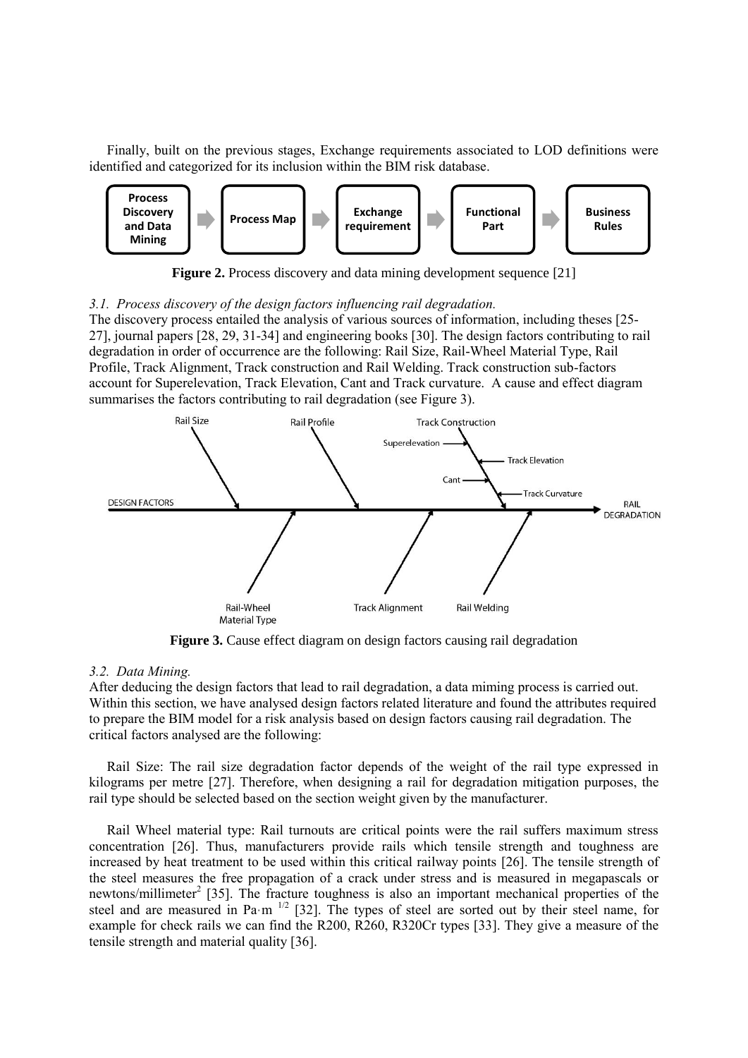Finally, built on the previous stages, Exchange requirements associated to LOD definitions were identified and categorized for its inclusion within the BIM risk database.



**Figure 2.** Process discovery and data mining development sequence [21]

#### <span id="page-4-0"></span>*3.1. Process discovery of the design factors influencing rail degradation.*

The discovery process entailed the analysis of various sources of information, including theses [25- 27], journal papers [28, 29, 31-34] and engineering books [30]. The design factors contributing to rail degradation in order of occurrence are the following: Rail Size, Rail-Wheel Material Type, Rail Profile, Track Alignment, Track construction and Rail Welding. Track construction sub-factors account for Superelevation, Track Elevation, Cant and Track curvature. A cause and effect diagram summarises the factors contributing to rail degradation (see [Figure 3\)](#page-4-1).



**Figure 3.** Cause effect diagram on design factors causing rail degradation

#### <span id="page-4-1"></span>*3.2. Data Mining.*

After deducing the design factors that lead to rail degradation, a data miming process is carried out. Within this section, we have analysed design factors related literature and found the attributes required to prepare the BIM model for a risk analysis based on design factors causing rail degradation. The critical factors analysed are the following:

Rail Size: The rail size degradation factor depends of the weight of the rail type expressed in kilograms per metre [27]. Therefore, when designing a rail for degradation mitigation purposes, the rail type should be selected based on the section weight given by the manufacturer.

Rail Wheel material type: Rail turnouts are critical points were the rail suffers maximum stress concentration [26]. Thus, manufacturers provide rails which tensile strength and toughness are increased by heat treatment to be used within this critical railway points [26]. The tensile strength of the steel measures the free propagation of a crack under stress and is measured in megapascals or newtons/millimeter<sup>2</sup> [35]. The fracture toughness is also an important mechanical properties of the steel and are measured in Pa·m<sup>1/2</sup> [32]. The types of steel are sorted out by their steel name, for example for check rails we can find the R200, R260, R320Cr types [33]. They give a measure of the tensile strength and material quality [36].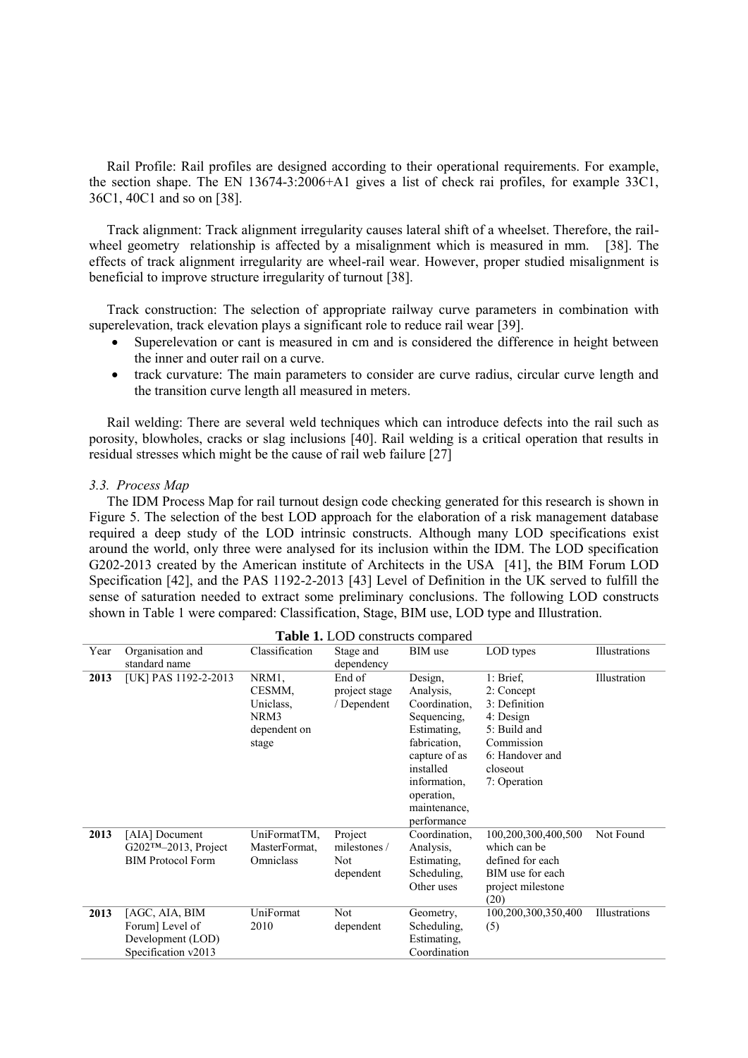Rail Profile: Rail profiles are designed according to their operational requirements. For example, the section shape. The EN 13674-3:2006+A1 gives a list of check rai profiles, for example 33C1, 36C1, 40C1 and so on [38].

Track alignment: Track alignment irregularity causes lateral shift of a wheelset. Therefore, the railwheel geometry relationship is affected by a misalignment which is measured in mm. [38]. The effects of track alignment irregularity are wheel-rail wear. However, proper studied misalignment is beneficial to improve structure irregularity of turnout [38].

Track construction: The selection of appropriate railway curve parameters in combination with superelevation, track elevation plays a significant role to reduce rail wear [39].

- Superelevation or cant is measured in cm and is considered the difference in height between the inner and outer rail on a curve.
- track curvature: The main parameters to consider are curve radius, circular curve length and the transition curve length all measured in meters.

Rail welding: There are several weld techniques which can introduce defects into the rail such as porosity, blowholes, cracks or slag inclusions [40]. Rail welding is a critical operation that results in residual stresses which might be the cause of rail web failure [27]

#### *3.3. Process Map*

The IDM Process Map for rail turnout design code checking generated for this research is shown in [Figure 5.](#page-11-0) The selection of the best LOD approach for the elaboration of a risk management database required a deep study of the LOD intrinsic constructs. Although many LOD specifications exist around the world, only three were analysed for its inclusion within the IDM. The LOD specification G202-2013 created by the American institute of Architects in the USA [41], the BIM Forum LOD Specification [42], and the PAS 1192-2-2013 [43] Level of Definition in the UK served to fulfill the sense of saturation needed to extract some preliminary conclusions. The following LOD constructs shown i[n Table 1](#page-5-0) were compared: Classification, Stage, BIM use, LOD type and Illustration.

**Table 1.** LOD constructs compared

<span id="page-5-0"></span>

|      | <b>Table 1.</b> LOD constructs compared                                       |                                                               |                                                    |                                                                                                                                                                                |                                                                                                                                    |               |  |
|------|-------------------------------------------------------------------------------|---------------------------------------------------------------|----------------------------------------------------|--------------------------------------------------------------------------------------------------------------------------------------------------------------------------------|------------------------------------------------------------------------------------------------------------------------------------|---------------|--|
| Year | Organisation and                                                              | Classification                                                | Stage and                                          | BIM use                                                                                                                                                                        | LOD types                                                                                                                          | Illustrations |  |
|      | standard name                                                                 |                                                               | dependency                                         |                                                                                                                                                                                |                                                                                                                                    |               |  |
| 2013 | [UK] PAS 1192-2-2013                                                          | NRM1,<br>CESMM,<br>Uniclass.<br>NRM3<br>dependent on<br>stage | End of<br>project stage<br>/ Dependent             | Design,<br>Analysis,<br>Coordination.<br>Sequencing,<br>Estimating,<br>fabrication,<br>capture of as<br>installed<br>information.<br>operation,<br>maintenance,<br>performance | 1: Brief,<br>2: Concept<br>3: Definition<br>4: Design<br>5: Build and<br>Commission<br>6: Handover and<br>closeout<br>7: Operation | Illustration  |  |
| 2013 | [AIA] Document<br>$G202TM-2013$ , Project<br><b>BIM Protocol Form</b>         | UniFormatTM,<br>MasterFormat,<br>Omniclass                    | Project<br>milestones /<br><b>Not</b><br>dependent | Coordination,<br>Analysis,<br>Estimating,<br>Scheduling,<br>Other uses                                                                                                         | 100,200,300,400,500<br>which can be<br>defined for each<br>BIM use for each<br>project milestone<br>(20)                           | Not Found     |  |
| 2013 | [AGC, AIA, BIM<br>Forum] Level of<br>Development (LOD)<br>Specification v2013 | UniFormat<br>2010                                             | <b>Not</b><br>dependent                            | Geometry,<br>Scheduling,<br>Estimating,<br>Coordination                                                                                                                        | 100,200,300,350,400<br>(5)                                                                                                         | Illustrations |  |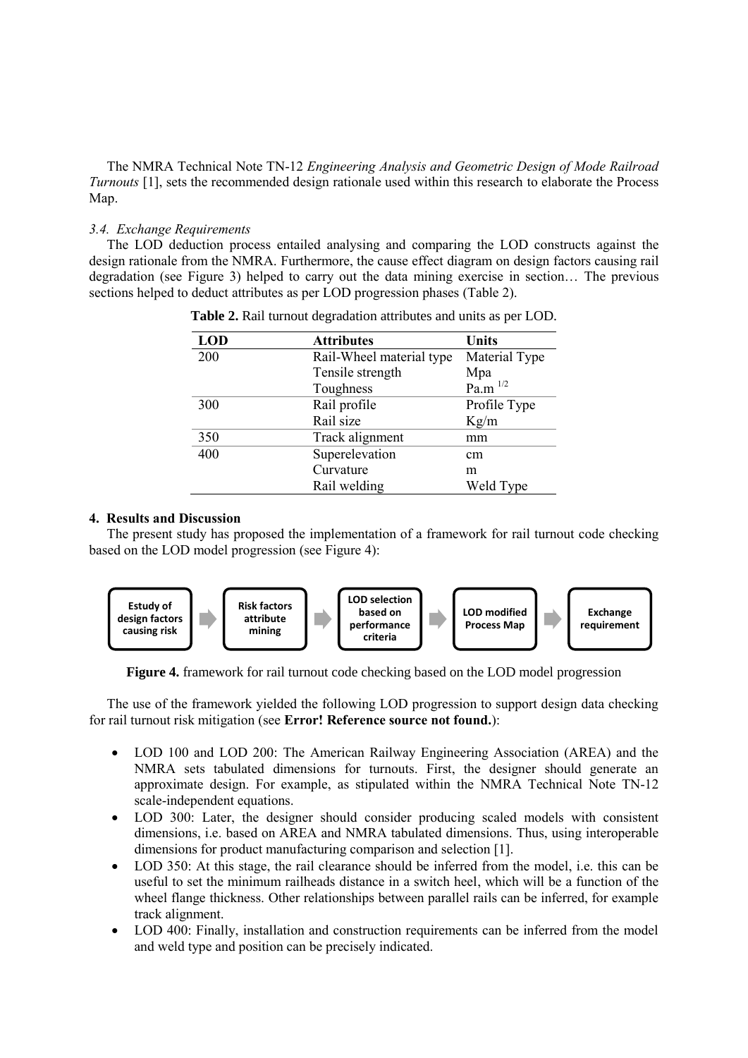The NMRA Technical Note TN-12 *Engineering Analysis and Geometric Design of Mode Railroad Turnouts* [1], sets the recommended design rationale used within this research to elaborate the Process Map.

#### *3.4. Exchange Requirements*

<span id="page-6-0"></span>The LOD deduction process entailed analysing and comparing the LOD constructs against the design rationale from the NMRA. Furthermore, the cause effect diagram on design factors causing rail degradation (see [Figure 3](#page-4-1)) helped to carry out the data mining exercise in section… The previous sections helped to deduct attributes as per LOD progression phases [\(Table 2\)](#page-6-0).

| <b>LOD</b> | <b>Attributes</b>        | Units                 |  |
|------------|--------------------------|-----------------------|--|
| 200        | Rail-Wheel material type | Material Type         |  |
|            | Tensile strength         | Mpa                   |  |
|            | Toughness                | $Pa.m$ <sup>1/2</sup> |  |
| 300        | Rail profile             | Profile Type          |  |
|            | Rail size                | Kg/m                  |  |
| 350        | Track alignment          | mm                    |  |
| 400        | Superelevation           | cm                    |  |
|            | Curvature                | m                     |  |
|            | Rail welding             | Weld Type             |  |

**Table 2.** Rail turnout degradation attributes and units as per LOD.

#### **4. Results and Discussion**

The present study has proposed the implementation of a framework for rail turnout code checking based on the LOD model progression (see [Figure 4\)](#page-6-1):



**Figure 4.** framework for rail turnout code checking based on the LOD model progression

<span id="page-6-1"></span>The use of the framework yielded the following LOD progression to support design data checking for rail turnout risk mitigation (see **Error! Reference source not found.**):

- LOD 100 and LOD 200: The American Railway Engineering Association (AREA) and the NMRA sets tabulated dimensions for turnouts. First, the designer should generate an approximate design. For example, as stipulated within the NMRA Technical Note TN-12 scale-independent equations.
- LOD 300: Later, the designer should consider producing scaled models with consistent dimensions, i.e. based on AREA and NMRA tabulated dimensions. Thus, using interoperable dimensions for product manufacturing comparison and selection [1].
- LOD 350: At this stage, the rail clearance should be inferred from the model, i.e. this can be useful to set the minimum railheads distance in a switch heel, which will be a function of the wheel flange thickness. Other relationships between parallel rails can be inferred, for example track alignment.
- LOD 400: Finally, installation and construction requirements can be inferred from the model and weld type and position can be precisely indicated.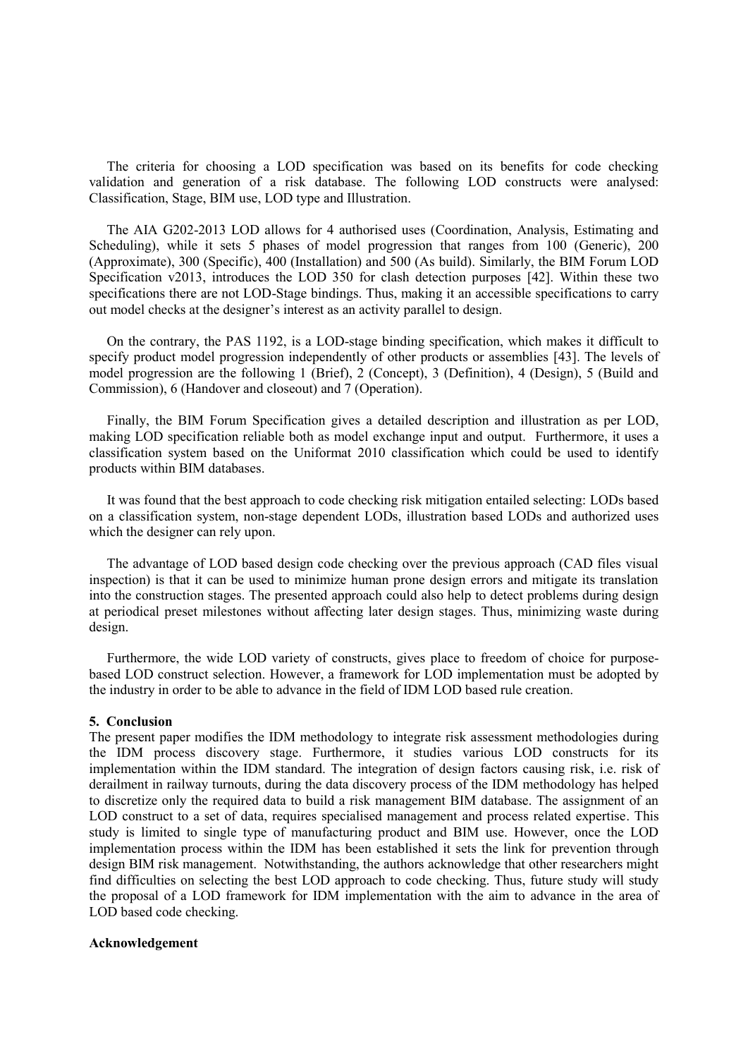The criteria for choosing a LOD specification was based on its benefits for code checking validation and generation of a risk database. The following LOD constructs were analysed: Classification, Stage, BIM use, LOD type and Illustration.

The AIA G202-2013 LOD allows for 4 authorised uses (Coordination, Analysis, Estimating and Scheduling), while it sets 5 phases of model progression that ranges from 100 (Generic), 200 (Approximate), 300 (Specific), 400 (Installation) and 500 (As build). Similarly, the BIM Forum LOD Specification v2013, introduces the LOD 350 for clash detection purposes [42]. Within these two specifications there are not LOD-Stage bindings. Thus, making it an accessible specifications to carry out model checks at the designer's interest as an activity parallel to design.

On the contrary, the PAS 1192, is a LOD-stage binding specification, which makes it difficult to specify product model progression independently of other products or assemblies [43]. The levels of model progression are the following 1 (Brief), 2 (Concept), 3 (Definition), 4 (Design), 5 (Build and Commission), 6 (Handover and closeout) and 7 (Operation).

Finally, the BIM Forum Specification gives a detailed description and illustration as per LOD, making LOD specification reliable both as model exchange input and output. Furthermore, it uses a classification system based on the Uniformat 2010 classification which could be used to identify products within BIM databases.

It was found that the best approach to code checking risk mitigation entailed selecting: LODs based on a classification system, non-stage dependent LODs, illustration based LODs and authorized uses which the designer can rely upon.

The advantage of LOD based design code checking over the previous approach (CAD files visual inspection) is that it can be used to minimize human prone design errors and mitigate its translation into the construction stages. The presented approach could also help to detect problems during design at periodical preset milestones without affecting later design stages. Thus, minimizing waste during design.

Furthermore, the wide LOD variety of constructs, gives place to freedom of choice for purposebased LOD construct selection. However, a framework for LOD implementation must be adopted by the industry in order to be able to advance in the field of IDM LOD based rule creation.

#### **5. Conclusion**

The present paper modifies the IDM methodology to integrate risk assessment methodologies during the IDM process discovery stage. Furthermore, it studies various LOD constructs for its implementation within the IDM standard. The integration of design factors causing risk, i.e. risk of derailment in railway turnouts, during the data discovery process of the IDM methodology has helped to discretize only the required data to build a risk management BIM database. The assignment of an LOD construct to a set of data, requires specialised management and process related expertise. This study is limited to single type of manufacturing product and BIM use. However, once the LOD implementation process within the IDM has been established it sets the link for prevention through design BIM risk management. Notwithstanding, the authors acknowledge that other researchers might find difficulties on selecting the best LOD approach to code checking. Thus, future study will study the proposal of a LOD framework for IDM implementation with the aim to advance in the area of LOD based code checking.

#### **Acknowledgement**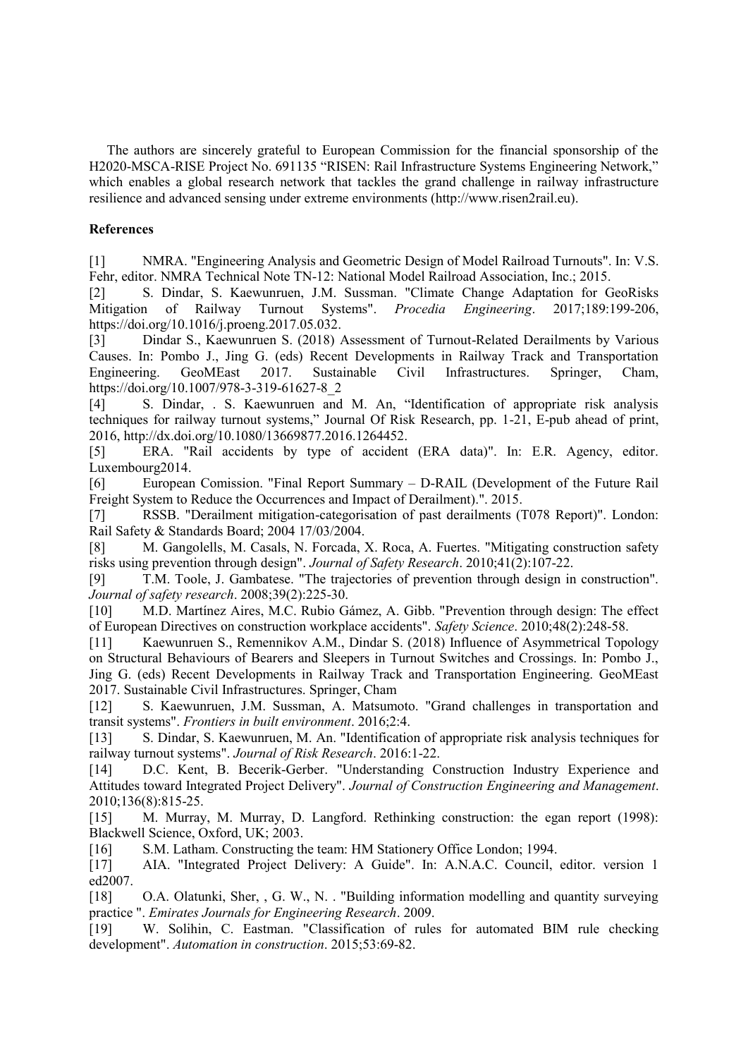The authors are sincerely grateful to European Commission for the financial sponsorship of the H2020-MSCA-RISE Project No. 691135 "RISEN: Rail Infrastructure Systems Engineering Network," which enables a global research network that tackles the grand challenge in railway infrastructure resilience and advanced sensing under extreme environments (http://www.risen2rail.eu).

#### **References**

[1] NMRA. "Engineering Analysis and Geometric Design of Model Railroad Turnouts". In: V.S. Fehr, editor. NMRA Technical Note TN-12: National Model Railroad Association, Inc.; 2015.

[2] S. Dindar, S. Kaewunruen, J.M. Sussman. "Climate Change Adaptation for GeoRisks Turnout Systems". *Procedia Engineering*. https://doi.org/10.1016/j.proeng.2017.05.032.

[3] Dindar S., Kaewunruen S. (2018) Assessment of Turnout-Related Derailments by Various Causes. In: Pombo J., Jing G. (eds) Recent Developments in Railway Track and Transportation Engineering. GeoMEast 2017. Sustainable Civil Infrastructures. Springer, Cham, https://doi.org/10.1007/978-3-319-61627-8\_2

[4] S. Dindar, . S. Kaewunruen and M. An, "Identification of appropriate risk analysis techniques for railway turnout systems," Journal Of Risk Research, pp. 1-21, E-pub ahead of print, 2016, [http://dx.doi.org/10.1080/13669877.2016.1264452.](http://dx.doi.org/10.1080/13669877.2016.1264452)

[5] ERA. "Rail accidents by type of accident (ERA data)". In: E.R. Agency, editor. Luxembourg2014.

[6] European Comission. "Final Report Summary – D-RAIL (Development of the Future Rail Freight System to Reduce the Occurrences and Impact of Derailment).". 2015.

[7] RSSB. "Derailment mitigation-categorisation of past derailments (T078 Report)". London: Rail Safety & Standards Board; 2004 17/03/2004.

[8] M. Gangolells, M. Casals, N. Forcada, X. Roca, A. Fuertes. "Mitigating construction safety risks using prevention through design". *Journal of Safety Research*. 2010;41(2):107-22.

[9] T.M. Toole, J. Gambatese. "The trajectories of prevention through design in construction". *Journal of safety research*. 2008;39(2):225-30.

[10] M.D. Martínez Aires, M.C. Rubio Gámez, A. Gibb. "Prevention through design: The effect of European Directives on construction workplace accidents". *Safety Science*. 2010;48(2):248-58.

[11] Kaewunruen S., Remennikov A.M., Dindar S. (2018) Influence of Asymmetrical Topology on Structural Behaviours of Bearers and Sleepers in Turnout Switches and Crossings. In: Pombo J., Jing G. (eds) Recent Developments in Railway Track and Transportation Engineering. GeoMEast 2017. Sustainable Civil Infrastructures. Springer, Cham

[12] S. Kaewunruen, J.M. Sussman, A. Matsumoto. "Grand challenges in transportation and transit systems". *Frontiers in built environment*. 2016;2:4.

[13] S. Dindar, S. Kaewunruen, M. An. "Identification of appropriate risk analysis techniques for railway turnout systems". *Journal of Risk Research*. 2016:1-22.

[14] D.C. Kent, B. Becerik-Gerber. "Understanding Construction Industry Experience and Attitudes toward Integrated Project Delivery". *Journal of Construction Engineering and Management*. 2010;136(8):815-25.

[15] M. Murray, M. Murray, D. Langford. Rethinking construction: the egan report (1998): Blackwell Science, Oxford, UK; 2003.

[16] S.M. Latham. Constructing the team: HM Stationery Office London; 1994.

[17] AIA. "Integrated Project Delivery: A Guide". In: A.N.A.C. Council, editor. version 1 ed2007.

[18] O.A. Olatunki, Sher, , G. W., N. . "Building information modelling and quantity surveying practice ". *Emirates Journals for Engineering Research*. 2009.

[19] W. Solihin, C. Eastman. "Classification of rules for automated BIM rule checking development". *Automation in construction*. 2015;53:69-82.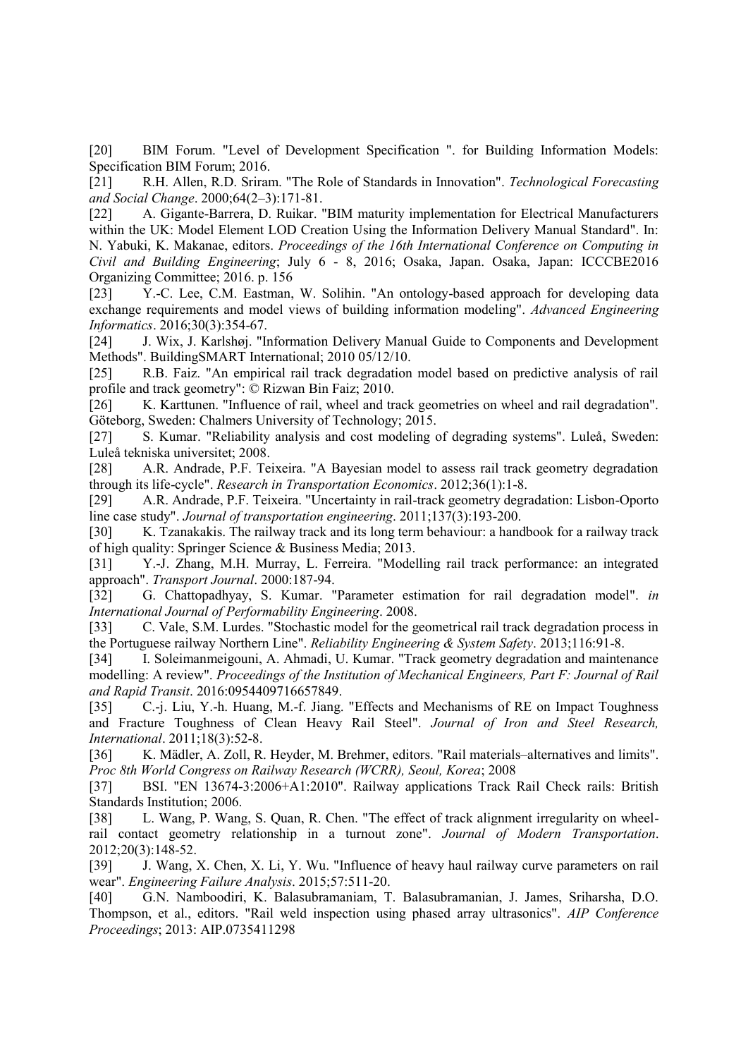[20] BIM Forum. "Level of Development Specification ". for Building Information Models: Specification BIM Forum; 2016.

[21] R.H. Allen, R.D. Sriram. "The Role of Standards in Innovation". *Technological Forecasting and Social Change*. 2000;64(2–3):171-81.

[22] A. Gigante-Barrera, D. Ruikar. "BIM maturity implementation for Electrical Manufacturers within the UK: Model Element LOD Creation Using the Information Delivery Manual Standard". In: N. Yabuki, K. Makanae, editors. *Proceedings of the 16th International Conference on Computing in Civil and Building Engineering*; July 6 - 8, 2016; Osaka, Japan. Osaka, Japan: ICCCBE2016 Organizing Committee; 2016. p. 156

[23] Y.-C. Lee, C.M. Eastman, W. Solihin. "An ontology-based approach for developing data exchange requirements and model views of building information modeling". *Advanced Engineering Informatics*. 2016;30(3):354-67.

[24] J. Wix, J. Karlshøj. "Information Delivery Manual Guide to Components and Development Methods". BuildingSMART International; 2010 05/12/10.

[25] R.B. Faiz. "An empirical rail track degradation model based on predictive analysis of rail profile and track geometry": © Rizwan Bin Faiz; 2010.

[26] K. Karttunen. "Influence of rail, wheel and track geometries on wheel and rail degradation". Göteborg, Sweden: Chalmers University of Technology; 2015.

[27] S. Kumar. "Reliability analysis and cost modeling of degrading systems". Luleå, Sweden: Luleå tekniska universitet; 2008.

[28] A.R. Andrade, P.F. Teixeira. "A Bayesian model to assess rail track geometry degradation through its life-cycle". *Research in Transportation Economics*. 2012;36(1):1-8.

[29] A.R. Andrade, P.F. Teixeira. "Uncertainty in rail-track geometry degradation: Lisbon-Oporto line case study". *Journal of transportation engineering*. 2011;137(3):193-200.

[30] K. Tzanakakis. The railway track and its long term behaviour: a handbook for a railway track of high quality: Springer Science & Business Media; 2013.

[31] Y.-J. Zhang, M.H. Murray, L. Ferreira. "Modelling rail track performance: an integrated approach". *Transport Journal*. 2000:187-94.

[32] G. Chattopadhyay, S. Kumar. "Parameter estimation for rail degradation model". *in International Journal of Performability Engineering*. 2008.

[33] C. Vale, S.M. Lurdes. "Stochastic model for the geometrical rail track degradation process in the Portuguese railway Northern Line". *Reliability Engineering & System Safety*. 2013;116:91-8.

[34] I. Soleimanmeigouni, A. Ahmadi, U. Kumar. "Track geometry degradation and maintenance modelling: A review". *Proceedings of the Institution of Mechanical Engineers, Part F: Journal of Rail and Rapid Transit*. 2016:0954409716657849.

[35] C.-j. Liu, Y.-h. Huang, M.-f. Jiang. "Effects and Mechanisms of RE on Impact Toughness and Fracture Toughness of Clean Heavy Rail Steel". *Journal of Iron and Steel Research, International*. 2011;18(3):52-8.

[36] K. Mädler, A. Zoll, R. Heyder, M. Brehmer, editors. "Rail materials–alternatives and limits". *Proc 8th World Congress on Railway Research (WCRR), Seoul, Korea*; 2008

[37] BSI. "EN 13674-3:2006+A1:2010". Railway applications Track Rail Check rails: British Standards Institution; 2006.

[38] L. Wang, P. Wang, S. Quan, R. Chen. "The effect of track alignment irregularity on wheelrail contact geometry relationship in a turnout zone". *Journal of Modern Transportation*. 2012;20(3):148-52.

[39] J. Wang, X. Chen, X. Li, Y. Wu. "Influence of heavy haul railway curve parameters on rail wear". *Engineering Failure Analysis*. 2015;57:511-20.

[40] G.N. Namboodiri, K. Balasubramaniam, T. Balasubramanian, J. James, Sriharsha, D.O. Thompson, et al., editors. "Rail weld inspection using phased array ultrasonics". *AIP Conference Proceedings*; 2013: AIP.0735411298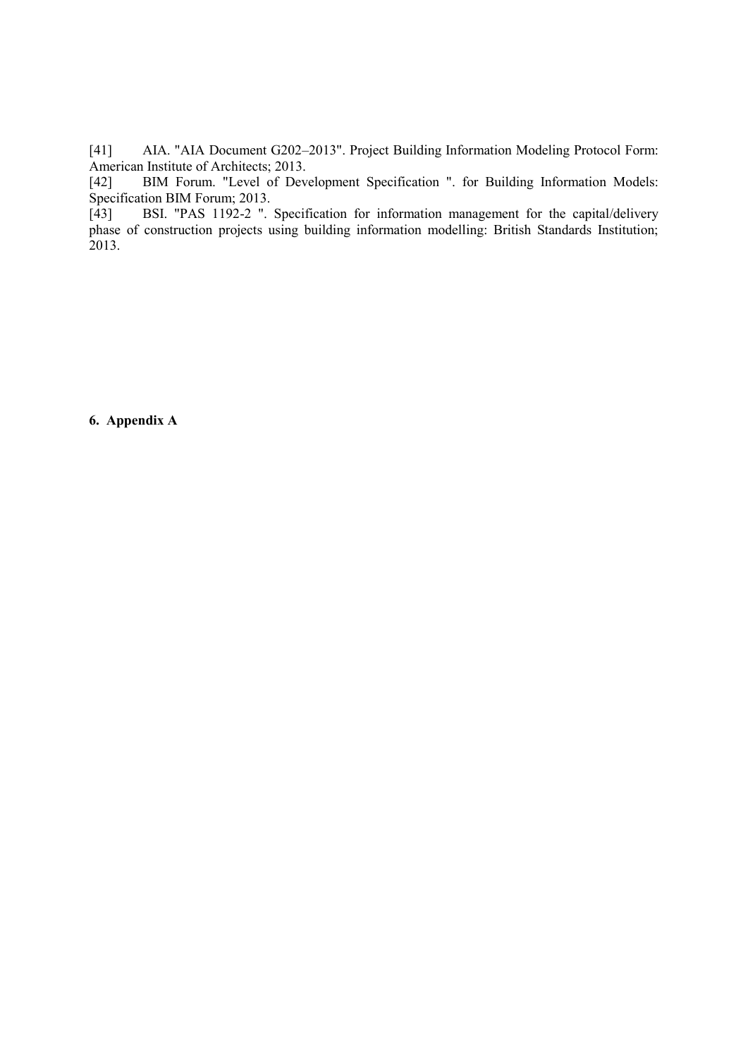[41] AIA. "AIA Document G202–2013". Project Building Information Modeling Protocol Form: American Institute of Architects; 2013.

[42] BIM Forum. "Level of Development Specification ". for Building Information Models: Specification BIM Forum; 2013.

[43] BSI. "PAS 1192-2 ". Specification for information management for the capital/delivery phase of construction projects using building information modelling: British Standards Institution; 2013.

**6. Appendix A**